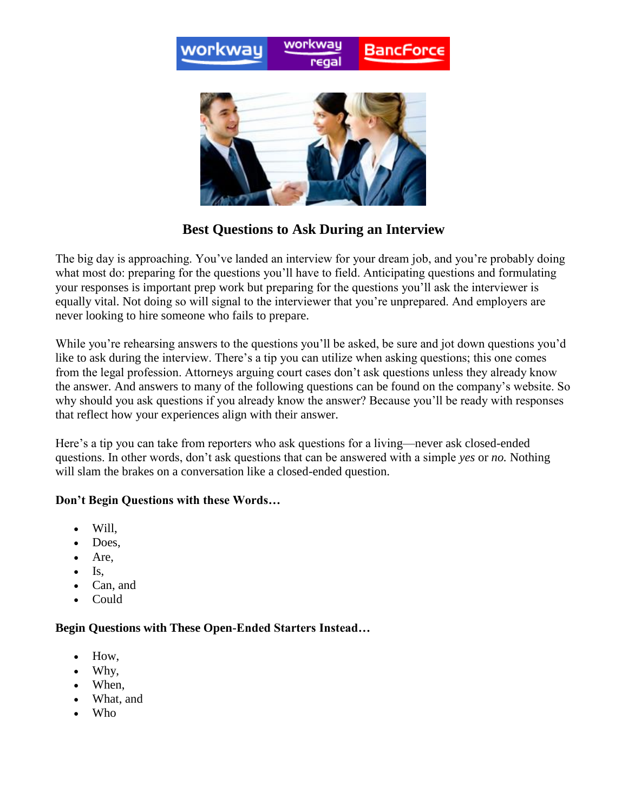

# **Best Questions to Ask During an Interview**

The big day is approaching. You've landed an interview for your dream job, and you're probably doing what most do: preparing for the questions you'll have to field. Anticipating questions and formulating your responses is important prep work but preparing for the questions you'll ask the interviewer is equally vital. Not doing so will signal to the interviewer that you're unprepared. And employers are never looking to hire someone who fails to prepare.

While you're rehearsing answers to the questions you'll be asked, be sure and jot down questions you'd like to ask during the interview. There's a tip you can utilize when asking questions; this one comes from the legal profession. Attorneys arguing court cases don't ask questions unless they already know the answer. And answers to many of the following questions can be found on the company's website. So why should you ask questions if you already know the answer? Because you'll be ready with responses that reflect how your experiences align with their answer.

Here's a tip you can take from reporters who ask questions for a living—never ask closed-ended questions. In other words, don't ask questions that can be answered with a simple *yes* or *no.* Nothing will slam the brakes on a conversation like a closed-ended question.

## **Don't Begin Questions with these Words…**

- Will,
- Does.
- Are.
- $\bullet$  Is.
- Can, and
- Could

## **Begin Questions with These Open-Ended Starters Instead…**

- How,
- Why,
- When.
- What, and
- Who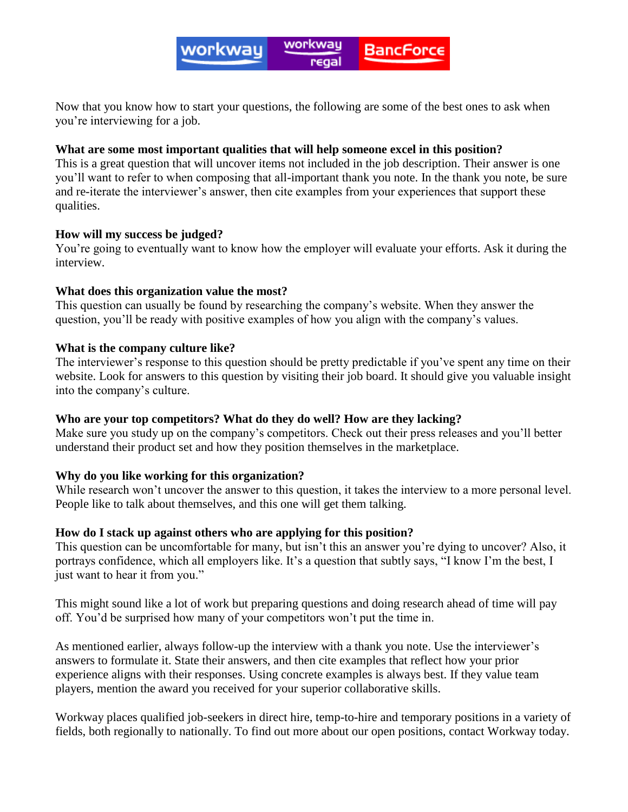Now that you know how to start your questions, the following are some of the best ones to ask when you're interviewing for a job.

### **What are some most important qualities that will help someone excel in this position?**

This is a great question that will uncover items not included in the job description. Their answer is one you'll want to refer to when composing that all-important thank you note. In the thank you note, be sure and re-iterate the interviewer's answer, then cite examples from your experiences that support these qualities.

#### **How will my success be judged?**

You're going to eventually want to know how the employer will evaluate your efforts. Ask it during the interview.

#### **What does this organization value the most?**

This question can usually be found by researching the company's website. When they answer the question, you'll be ready with positive examples of how you align with the company's values.

#### **What is the company culture like?**

The interviewer's response to this question should be pretty predictable if you've spent any time on their website. Look for answers to this question by visiting their job board. It should give you valuable insight into the company's culture.

## **Who are your top competitors? What do they do well? How are they lacking?**

Make sure you study up on the company's competitors. Check out their press releases and you'll better understand their product set and how they position themselves in the marketplace.

## **Why do you like working for this organization?**

While research won't uncover the answer to this question, it takes the interview to a more personal level. People like to talk about themselves, and this one will get them talking.

## **How do I stack up against others who are applying for this position?**

This question can be uncomfortable for many, but isn't this an answer you're dying to uncover? Also, it portrays confidence, which all employers like. It's a question that subtly says, "I know I'm the best, I just want to hear it from you."

This might sound like a lot of work but preparing questions and doing research ahead of time will pay off. You'd be surprised how many of your competitors won't put the time in.

As mentioned earlier, always follow-up the interview with a thank you note. Use the interviewer's answers to formulate it. State their answers, and then cite examples that reflect how your prior experience aligns with their responses. Using concrete examples is always best. If they value team players, mention the award you received for your superior collaborative skills.

Workway places qualified job-seekers in direct hire, temp-to-hire and temporary positions in a variety of fields, both regionally to nationally. To find out more about our open positions, contact Workway today.